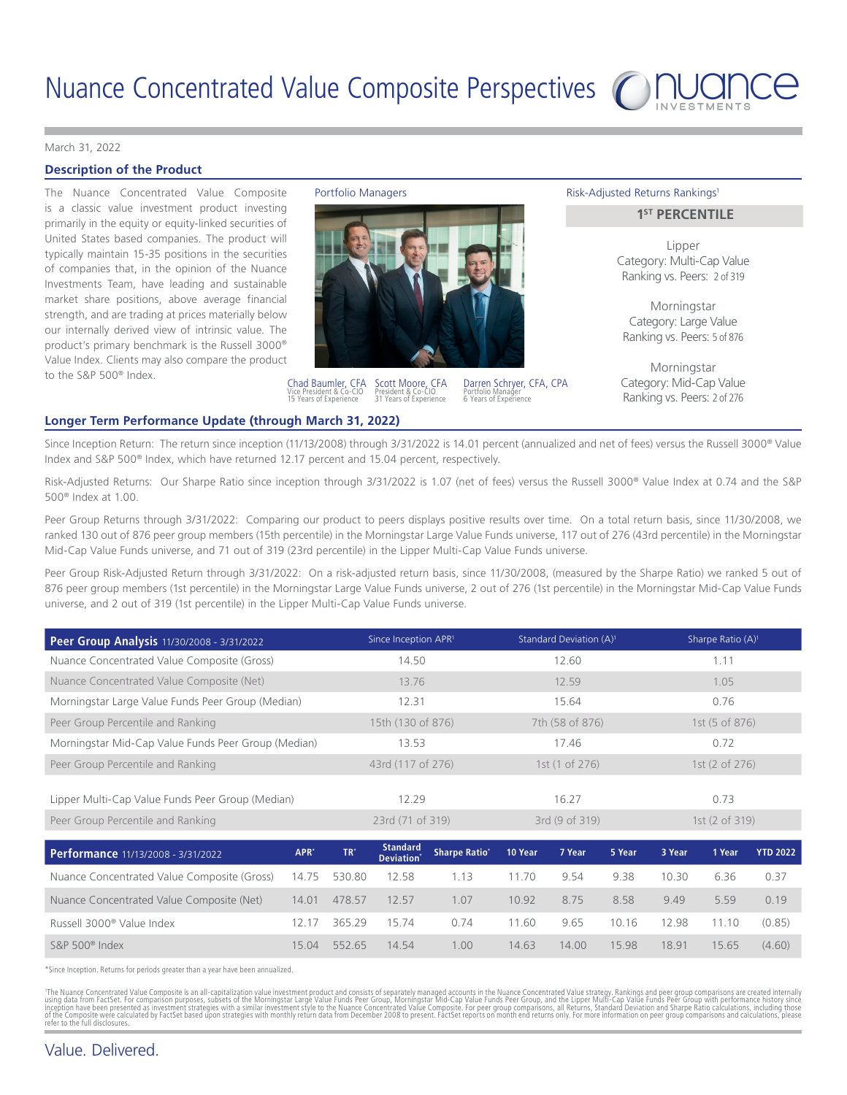

#### [March 31, 2022](DBF_DATE_EOM_FORMAL)

## **Description of the Product**

The Nuance Concentrated Value Composite Portfolio Managers The Nuance Risk-Adjusted Returns Rankings<sup>1</sup> is a classic value investment product investing primarily in the equity or equity-linked securities of United States based companies. The product will typically maintain 15-35 positions in the securities of companies that, in the opinion of the Nuance Investments Team, have leading and sustainable market share positions, above average financial strength, and are trading at prices materially below our internally derived view of intrinsic value. The product's primary benchmark is the Russell 3000® Value Index. Clients may also compare the product to the S&P 500® Index.





Scott Moore, CFA President & Co-CIO [31](DBF_YRS_EXPERIENCE_INV_SCOTT) Years of Experience Chad Baumler, CFA<br>Vice President & Co-CIO Vice President & Co-CIO [15](DBF_YRS_EXPERIENCE_INV_CHAD) Years of Experience

Darren Schryer, CFA, CPA Portfolio Manager [6](DBF_YRS_EXPERIENCE_NUANCE_DARREN) Years of Experience

# **1ST PERCENTILE**

Lipper Category: Multi-Cap Value Ranking vs. Peers: [2](DBF_PEER_SI_SHARPE_RANK_LIPPER_MULTI_CVC) of [319](DBF_PEER_SI_SHARPE_NUM_PEERS_LIPPER_MULTI_CVC_CVC)

Morningstar Category: Large Value Ranking vs. Peers: [5](DBF_PEER_SI_SHARPE_RANK_MSTAR_LCV_CVC) of [876](DBF_PEER_SI_SHARPE_NUM_PEERS_MSTAR_LCV_CVC)

Morningstar Category: Mid-Cap Value Ranking vs. Peers: [2](DBF_PEER_SI_SHARPE_RANK_MSTAR_MIDCV_CVC) of [276](DBF_PEER_SI_SHARPE_NUM_PEERS_MSTAR_MIDCV_MCVC)

#### **Longer Term Performance Update (through [March 31, 2022](DBF_DATE_EOM_FORMAL))**

Since Inception Return: The return since inception (11/13/2008) through 3/31/2022 is 14.01 percent (annualized and net of fees) versus the Russell 3000® Value Index and S&P 500® Index, which have returned 12.17 percent and 15.04 percent, respectively.

Risk-Adjusted Returns: Our Sharpe Ratio since inception through 3/31/2022 is 1.07 (net of fees) versus the Russell 3000® Value Index at 0.74 and the S&P 500® Index at 1.00.

Peer Group Returns through 3/31/2022: Comparing our product to peers displays positive results over time. On a total return basis, since 11/30/2008, we ranked 130 out of 876 peer group members (15th percentile) in the Morningstar Large Value Funds universe, 117 out of 276 (43rd percentile) in the Morningstar Mid-Cap Value Funds universe, and 71 out of 319 (23rd percentile) in the Lipper Multi-Cap Value Funds universe.

Peer Group Risk-Adjusted Return through 3/31/2022: On a risk-adjusted return basis, since 11/30/2008, (measured by the Sharpe Ratio) we ranked 5 out of 876 peer group members (1st percentile) in the Morningstar Large Value Funds universe, 2 out of 276 (1st percentile) in the Morningstar Mid-Cap Value Funds universe, and 2 out of 319 (1st percentile) in the Lipper Multi-Cap Value Funds universe.

| Peer Group Analysis 11/30/2008 - 3/31/2022          | Since Inception APR <sup>1</sup> | Standard Deviation (A) <sup>1</sup> | Sharpe Ratio $(A)^1$ |
|-----------------------------------------------------|----------------------------------|-------------------------------------|----------------------|
| Nuance Concentrated Value Composite (Gross)         | 14.50                            | 12.60                               | 1.11                 |
| Nuance Concentrated Value Composite (Net)           | 13.76                            | 12.59                               | 1.05                 |
| Morningstar Large Value Funds Peer Group (Median)   | 12.31                            | 15.64                               | 0.76                 |
| Peer Group Percentile and Ranking                   | 15th (130 of 876)                | 7th (58 of 876)                     | 1st (5 of 876)       |
| Morningstar Mid-Cap Value Funds Peer Group (Median) | 13.53                            | 17.46                               | 0.72                 |
| Peer Group Percentile and Ranking                   | 43rd (117 of 276)                | 1st (1 of 276)                      | 1st (2 of 276)       |
|                                                     |                                  |                                     |                      |
| Lipper Multi-Cap Value Funds Peer Group (Median)    | 12.29                            | 16.27                               | 0.73                 |
| Peer Group Percentile and Ranking                   | 23rd (71 of 319)                 | 3rd (9 of 319)                      | 1st (2 of 319)       |

| Performance 11/13/2008 - 3/31/2022          | APR <sup>*</sup> | TR'          | <b>Standard</b><br>Deviation <sup>*</sup> | <b>Sharpe Ratio</b> * | 10 Year | 7 Year | 5 Year | 3 Year | 1 Year | <b>YTD 2022</b> |
|---------------------------------------------|------------------|--------------|-------------------------------------------|-----------------------|---------|--------|--------|--------|--------|-----------------|
| Nuance Concentrated Value Composite (Gross) |                  | 14.75 530.80 | 12.58                                     | 1.13                  | 11.70   | 9.54   | 9.38   | 10.30  | 6.36   | 0.37            |
| Nuance Concentrated Value Composite (Net)   | 14.01            | 478.57       | 12.57                                     | 1.07                  | 10.92   | 8.75   | 8.58   | 9.49   | 5.59   | 0.19            |
| Russell 3000 <sup>®</sup> Value Index       | 12 17            | 365.29       | 15 74                                     | 0.74                  | 11.60   | 9.65   | 10.16  | 12.98  | 11.10  | (0.85)          |
| S&P $500^\circ$ Index                       | 15.04            | 552.65       | 14 54                                     | 1.00                  | 14.63   | 14.00  | 15.98  | 18.91  | 15.65  | (4.60)          |

\*Since Inception. Returns for periods greater than a year have been annualized.

'The Nuance Concentrated Value Composite is an all-capitalization value investment product and consists of separately managed accounts in the Nuance Concentrated Value Concentrated Value Funds Peer Group with performance h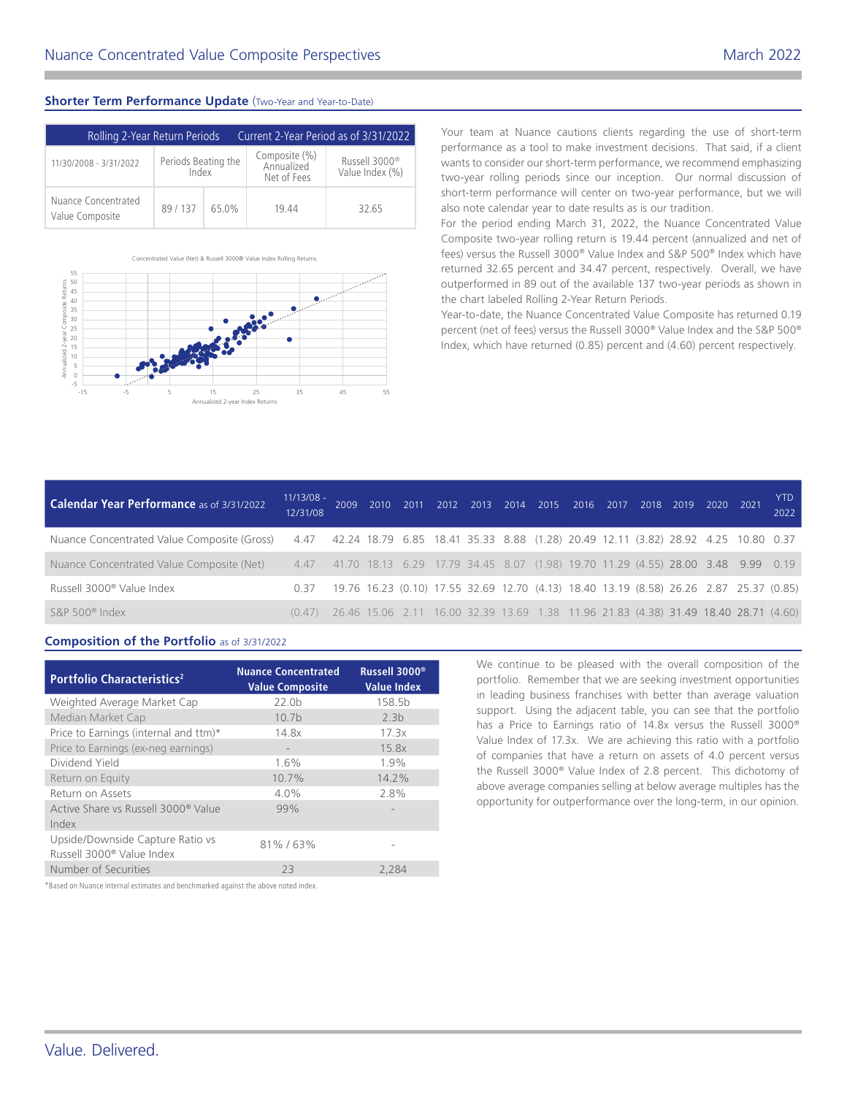# **Shorter Term Performance Update** (Two-Year and Year-to-Date)

| Rolling 2-Year Return Periods          |                              | Current 2-Year Period as of 3/31/2022 |                                            |                                              |  |
|----------------------------------------|------------------------------|---------------------------------------|--------------------------------------------|----------------------------------------------|--|
| 11/30/2008 - 3/31/2022                 | Periods Beating the<br>Index |                                       | Composite (%)<br>Annualized<br>Net of Fees | Russell 3000 <sup>®</sup><br>Value Index (%) |  |
| Nuance Concentrated<br>Value Composite | 89/137                       | 65.0%                                 | 19.44                                      | 32.65                                        |  |



Your team at Nuance cautions clients regarding the use of short-term performance as a tool to make investment decisions. That said, if a client wants to consider our short-term performance, we recommend emphasizing two-year rolling periods since our inception. Our normal discussion of short-term performance will center on two-year performance, but we will also note calendar year to date results as is our tradition.

For the period ending March 31, 2022, the Nuance Concentrated Value Composite two-year rolling return is 19.44 percent (annualized and net of fees) versus the Russell 3000® Value Index and S&P 500® Index which have returned 32.65 percent and 34.47 percent, respectively. Overall, we have outperformed in 89 out of the available 137 two-year periods as shown in the chart labeled Rolling 2-Year Return Periods.

Year-to-date, the Nuance Concentrated Value Composite has returned 0.19 percent (net of fees) versus the Russell 3000® Value Index and the S&P 500® Index, which have returned (0.85) percent and (4.60) percent respectively.

| <b>YTD</b><br>2022 |                                                                                                                                                                                                                                                                                                                                                                                                                                                                                  |
|--------------------|----------------------------------------------------------------------------------------------------------------------------------------------------------------------------------------------------------------------------------------------------------------------------------------------------------------------------------------------------------------------------------------------------------------------------------------------------------------------------------|
|                    |                                                                                                                                                                                                                                                                                                                                                                                                                                                                                  |
|                    |                                                                                                                                                                                                                                                                                                                                                                                                                                                                                  |
|                    |                                                                                                                                                                                                                                                                                                                                                                                                                                                                                  |
|                    |                                                                                                                                                                                                                                                                                                                                                                                                                                                                                  |
|                    | 2009 2010 2011 2012 2013 2014 2015 2016 2017 2018 2019 2020 2021<br>Nuance Concentrated Value Composite (Gross) 4.47 42.24 18.79 6.85 18.41 35.33 8.88 (1.28) 20.49 12.11 (3.82) 28.92 4.25 10.80 0.37<br>4.47 41.70 18.13 6.29 17.79 34.45 8.07 (1.98) 19.70 11.29 (4.55) 28.00 3.48 9.99 0.19<br>19.76 16.23 (0.10) 17.55 32.69 12.70 (4.13) 18.40 13.19 (8.58) 26.26 2.87 25.37 (0.85)<br>26.46 15.06 2.11 16.00 32.39 13.69 1.38 11.96 21.83 (4.38) 31.49 18.40 28.71 (4.60) |

# **Composition of the Portfolio** as of [3/31/2022](DBF_DATE_EOM_SHORT)

| Portfolio Characteristics <sup>2</sup>                                    | <b>Nuance Concentrated</b><br><b>Value Composite</b> | Russell 3000 <sup>®</sup><br><b>Value Index</b> |
|---------------------------------------------------------------------------|------------------------------------------------------|-------------------------------------------------|
| Weighted Average Market Cap                                               | 22.0 <sub>b</sub>                                    | 158.5b                                          |
| Median Market Cap                                                         | 10.7 <sub>b</sub>                                    | 2.3 <sub>b</sub>                                |
| Price to Earnings (internal and ttm)*                                     | 14.8x                                                | 17.3x                                           |
| Price to Earnings (ex-neg earnings)                                       | $\qquad \qquad \blacksquare$                         | 15.8x                                           |
| Dividend Yield                                                            | 1.6%                                                 | 1.9%                                            |
| Return on Equity                                                          | 10.7%                                                | 14.2%                                           |
| Return on Assets                                                          | 4.0%                                                 | 2.8%                                            |
| Active Share vs Russell 3000 <sup>®</sup> Value<br>Index                  | 99%                                                  |                                                 |
| Upside/Downside Capture Ratio vs<br>Russell 3000 <sup>®</sup> Value Index | 81%/63%                                              |                                                 |
| Number of Securities                                                      | 23                                                   | 2.284                                           |

We continue to be pleased with the overall composition of the portfolio. Remember that we are seeking investment opportunities in leading business franchises with better than average valuation support. Using the adjacent table, you can see that the portfolio has a Price to Earnings ratio of 14.8x versus the Russell 3000® Value Index of 17.3x. We are achieving this ratio with a portfolio of companies that have a return on assets of 4.0 percent versus the Russell 3000® Value Index of 2.8 percent. This dichotomy of above average companies selling at below average multiples has the opportunity for outperformance over the long-term, in our opinion.

\*Based on Nuance internal estimates and benchmarked against the above noted index.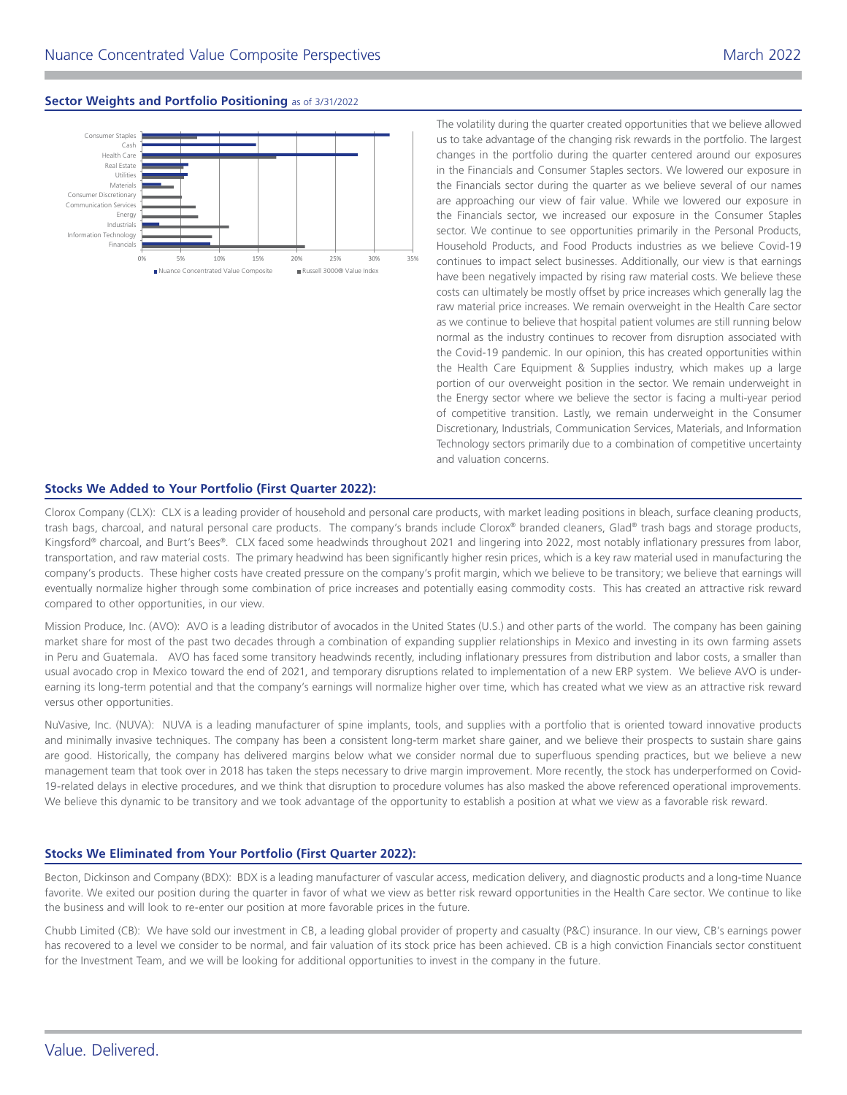# **Sector Weights and Portfolio Positioning** as of [3/31/2022](DBF_DATE_EOQ_SHORT)



The volatility during the quarter created opportunities that we believe allowed us to take advantage of the changing risk rewards in the portfolio. The largest changes in the portfolio during the quarter centered around our exposures in the Financials and Consumer Staples sectors. We lowered our exposure in the Financials sector during the quarter as we believe several of our names are approaching our view of fair value. While we lowered our exposure in the Financials sector, we increased our exposure in the Consumer Staples sector. We continue to see opportunities primarily in the Personal Products, Household Products, and Food Products industries as we believe Covid-19 continues to impact select businesses. Additionally, our view is that earnings have been negatively impacted by rising raw material costs. We believe these costs can ultimately be mostly offset by price increases which generally lag the raw material price increases. We remain overweight in the Health Care sector as we continue to believe that hospital patient volumes are still running below normal as the industry continues to recover from disruption associated with the Covid-19 pandemic. In our opinion, this has created opportunities within the Health Care Equipment & Supplies industry, which makes up a large portion of our overweight position in the sector. We remain underweight in the Energy sector where we believe the sector is facing a multi-year period of competitive transition. Lastly, we remain underweight in the Consumer Discretionary, Industrials, Communication Services, Materials, and Information Technology sectors primarily due to a combination of competitive uncertainty and valuation concerns.

### **Stocks We Added to Your Portfolio ([First Quarter 2022](DBF_DATE_EOQ_QTR_YR)):**

Clorox Company (CLX): CLX is a leading provider of household and personal care products, with market leading positions in bleach, surface cleaning products, trash bags, charcoal, and natural personal care products. The company's brands include Clorox® branded cleaners, Glad® trash bags and storage products, Kingsford® charcoal, and Burt's Bees®. CLX faced some headwinds throughout 2021 and lingering into 2022, most notably inflationary pressures from labor, transportation, and raw material costs. The primary headwind has been significantly higher resin prices, which is a key raw material used in manufacturing the company's products. These higher costs have created pressure on the company's profit margin, which we believe to be transitory; we believe that earnings will eventually normalize higher through some combination of price increases and potentially easing commodity costs. This has created an attractive risk reward compared to other opportunities, in our view.

Mission Produce, Inc. (AVO): AVO is a leading distributor of avocados in the United States (U.S.) and other parts of the world. The company has been gaining market share for most of the past two decades through a combination of expanding supplier relationships in Mexico and investing in its own farming assets in Peru and Guatemala. AVO has faced some transitory headwinds recently, including inflationary pressures from distribution and labor costs, a smaller than usual avocado crop in Mexico toward the end of 2021, and temporary disruptions related to implementation of a new ERP system. We believe AVO is underearning its long-term potential and that the company's earnings will normalize higher over time, which has created what we view as an attractive risk reward versus other opportunities.

NuVasive, Inc. (NUVA): NUVA is a leading manufacturer of spine implants, tools, and supplies with a portfolio that is oriented toward innovative products and minimally invasive techniques. The company has been a consistent long-term market share gainer, and we believe their prospects to sustain share gains are good. Historically, the company has delivered margins below what we consider normal due to superfluous spending practices, but we believe a new management team that took over in 2018 has taken the steps necessary to drive margin improvement. More recently, the stock has underperformed on Covid-19-related delays in elective procedures, and we think that disruption to procedure volumes has also masked the above referenced operational improvements. We believe this dynamic to be transitory and we took advantage of the opportunity to establish a position at what we view as a favorable risk reward.

# **Stocks We Eliminated from Your Portfolio [\(First Quarter 2022](DBF_DATE_EOQ_QTR_YR)):**

Becton, Dickinson and Company (BDX): BDX is a leading manufacturer of vascular access, medication delivery, and diagnostic products and a long-time Nuance favorite. We exited our position during the quarter in favor of what we view as better risk reward opportunities in the Health Care sector. We continue to like the business and will look to re-enter our position at more favorable prices in the future.

Chubb Limited (CB): We have sold our investment in CB, a leading global provider of property and casualty (P&C) insurance. In our view, CB's earnings power has recovered to a level we consider to be normal, and fair valuation of its stock price has been achieved. CB is a high conviction Financials sector constituent for the Investment Team, and we will be looking for additional opportunities to invest in the company in the future.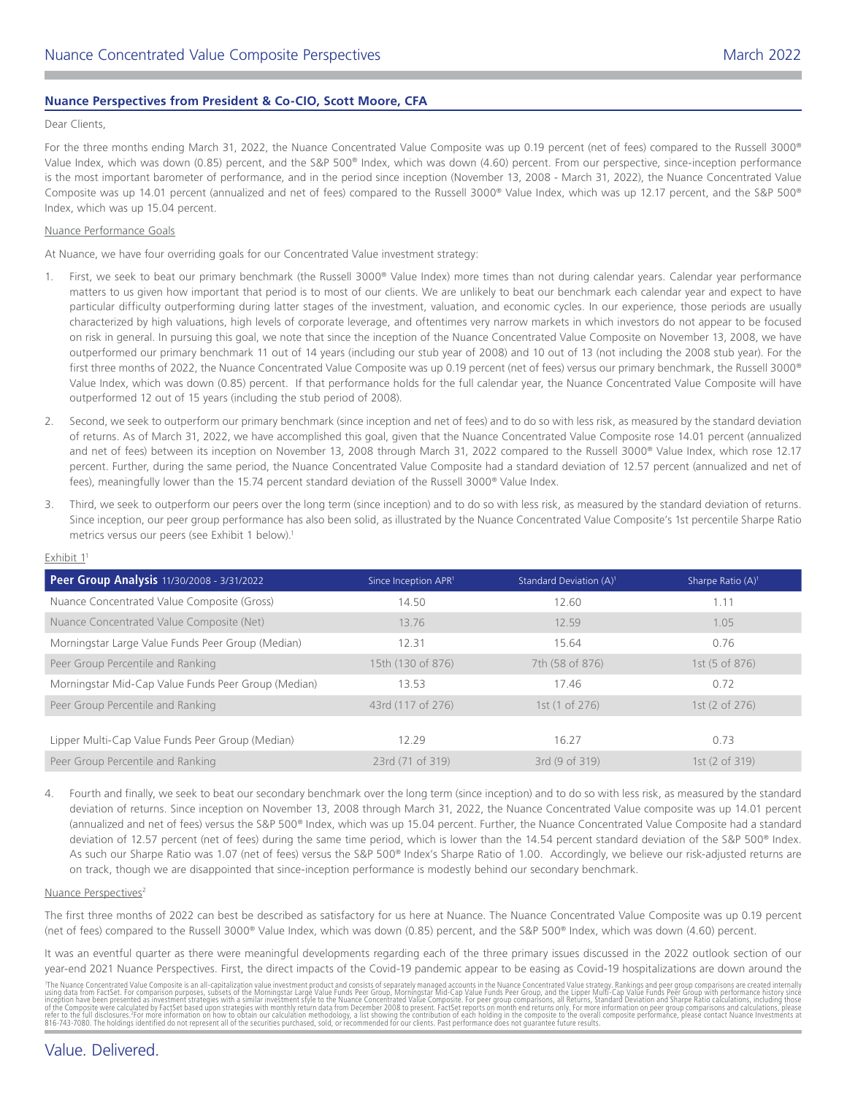# **Nuance Perspectives from President & Co-CIO, Scott Moore, CFA**

#### Dear Clients,

For the three months ending March 31, 2022, the Nuance Concentrated Value Composite was up 0.19 percent (net of fees) compared to the Russell 3000® Value Index, which was down (0.85) percent, and the S&P 500® Index, which was down (4.60) percent. From our perspective, since-inception performance is the most important barometer of performance, and in the period since inception (November 13, 2008 - March 31, 2022), the Nuance Concentrated Value Composite was up 14.01 percent (annualized and net of fees) compared to the Russell 3000® Value Index, which was up 12.17 percent, and the S&P 500® Index, which was up 15.04 percent.

#### Nuance Performance Goals

At Nuance, we have four overriding goals for our Concentrated Value investment strategy:

- 1. First, we seek to beat our primary benchmark (the Russell 3000® Value Index) more times than not during calendar years. Calendar year performance matters to us given how important that period is to most of our clients. We are unlikely to beat our benchmark each calendar year and expect to have particular difficulty outperforming during latter stages of the investment, valuation, and economic cycles. In our experience, those periods are usually characterized by high valuations, high levels of corporate leverage, and oftentimes very narrow markets in which investors do not appear to be focused on risk in general. In pursuing this goal, we note that since the inception of the Nuance Concentrated Value Composite on November 13, 2008, we have outperformed our primary benchmark 11 out of 14 years (including our stub year of 2008) and 10 out of 13 (not including the 2008 stub year). For the first three months of 2022, the Nuance Concentrated Value Composite was up 0.19 percent (net of fees) versus our primary benchmark, the Russell 3000® Value Index, which was down (0.85) percent. If that performance holds for the full calendar year, the Nuance Concentrated Value Composite will have outperformed 12 out of 15 years (including the stub period of 2008).
- 2. Second, we seek to outperform our primary benchmark (since inception and net of fees) and to do so with less risk, as measured by the standard deviation of returns. As of March 31, 2022, we have accomplished this goal, given that the Nuance Concentrated Value Composite rose 14.01 percent (annualized and net of fees) between its inception on November 13, 2008 through March 31, 2022 compared to the Russell 3000® Value Index, which rose 12.17 percent. Further, during the same period, the Nuance Concentrated Value Composite had a standard deviation of 12.57 percent (annualized and net of fees), meaningfully lower than the 15.74 percent standard deviation of the Russell 3000® Value Index.
- 3. Third, we seek to outperform our peers over the long term (since inception) and to do so with less risk, as measured by the standard deviation of returns. Since inception, our peer group performance has also been solid, as illustrated by the Nuance Concentrated Value Composite's 1st percentile Sharpe Ratio metrics versus our peers (see Exhibit 1 below).<sup>1</sup>

| Peer Group Analysis 11/30/2008 - 3/31/2022          | Since Inception APR <sup>1</sup> | Standard Deviation (A) <sup>1</sup> | Sharpe Ratio $(A)^1$      |
|-----------------------------------------------------|----------------------------------|-------------------------------------|---------------------------|
| Nuance Concentrated Value Composite (Gross)         | 14.50                            | 12.60                               | 1.11                      |
| Nuance Concentrated Value Composite (Net)           | 13.76                            | 12.59                               | 1.05                      |
| Morningstar Large Value Funds Peer Group (Median)   | 12.31                            | 15.64                               | 0.76                      |
| Peer Group Percentile and Ranking                   | 15th (130 of 876)                | 7th (58 of 876)                     | 1st (5 of 876)            |
| Morningstar Mid-Cap Value Funds Peer Group (Median) | 13.53                            | 17.46                               | 0.72                      |
| Peer Group Percentile and Ranking                   | 43rd (117 of 276)                | 1st (1 of 276)                      | 1st $(2 \text{ of } 276)$ |
|                                                     |                                  |                                     |                           |
| Lipper Multi-Cap Value Funds Peer Group (Median)    | 12.29                            | 16.27                               | 0.73                      |
| Peer Group Percentile and Ranking                   | 23rd (71 of 319)                 | 3rd (9 of 319)                      | 1st (2 of 319)            |

Exhibit 11

4. Fourth and finally, we seek to beat our secondary benchmark over the long term (since inception) and to do so with less risk, as measured by the standard deviation of returns. Since inception on November 13, 2008 through March 31, 2022, the Nuance Concentrated Value composite was up 14.01 percent (annualized and net of fees) versus the S&P 500® Index, which was up 15.04 percent. Further, the Nuance Concentrated Value Composite had a standard deviation of 12.57 percent (net of fees) during the same time period, which is lower than the 14.54 percent standard deviation of the S&P 500® Index. As such our Sharpe Ratio was 1.07 (net of fees) versus the S&P 500® Index's Sharpe Ratio of 1.00. Accordingly, we believe our risk-adjusted returns are on track, though we are disappointed that since-inception performance is modestly behind our secondary benchmark.

#### Nuance Perspectives<sup>2</sup>

The first three months of 2022 can best be described as satisfactory for us here at Nuance. The Nuance Concentrated Value Composite was up 0.19 percent (net of fees) compared to the Russell 3000® Value Index, which was down (0.85) percent, and the S&P 500® Index, which was down (4.60) percent.

It was an eventful quarter as there were meaningful developments regarding each of the three primary issues discussed in the 2022 outlook section of our year-end 2021 Nuance Perspectives. First, the direct impacts of the Covid-19 pandemic appear to be easing as Covid-19 hospitalizations are down around the

'The Nuance Concentrated Value Composite is an all-capitalization value investment product and consists of separately managed accounts in the Nuance Concentrated Value strategy. Rankings and peer group comparisons are crea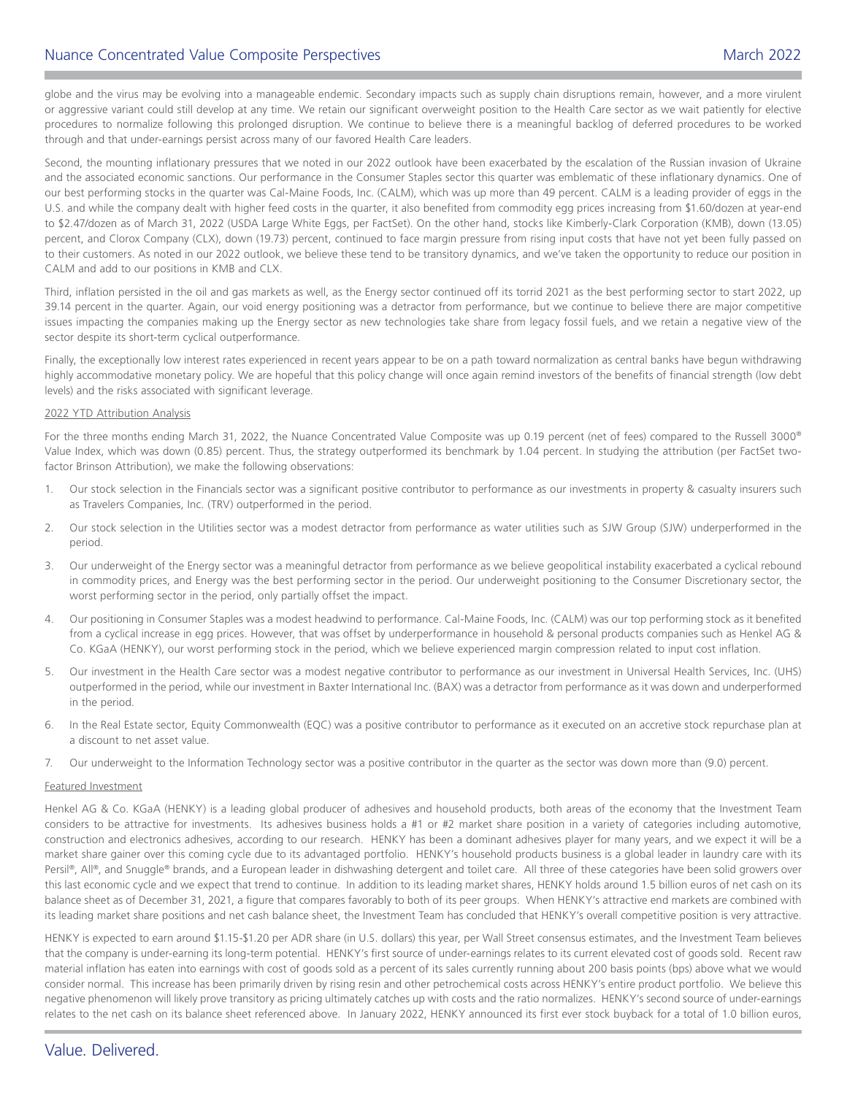globe and the virus may be evolving into a manageable endemic. Secondary impacts such as supply chain disruptions remain, however, and a more virulent or aggressive variant could still develop at any time. We retain our significant overweight position to the Health Care sector as we wait patiently for elective procedures to normalize following this prolonged disruption. We continue to believe there is a meaningful backlog of deferred procedures to be worked through and that under-earnings persist across many of our favored Health Care leaders.

Second, the mounting inflationary pressures that we noted in our 2022 outlook have been exacerbated by the escalation of the Russian invasion of Ukraine and the associated economic sanctions. Our performance in the Consumer Staples sector this quarter was emblematic of these inflationary dynamics. One of our best performing stocks in the quarter was Cal-Maine Foods, Inc. (CALM), which was up more than 49 percent. CALM is a leading provider of eggs in the U.S. and while the company dealt with higher feed costs in the quarter, it also benefited from commodity egg prices increasing from \$1.60/dozen at year-end to \$2.47/dozen as of March 31, 2022 (USDA Large White Eggs, per FactSet). On the other hand, stocks like Kimberly-Clark Corporation (KMB), down (13.05) percent, and Clorox Company (CLX), down (19.73) percent, continued to face margin pressure from rising input costs that have not yet been fully passed on to their customers. As noted in our 2022 outlook, we believe these tend to be transitory dynamics, and we've taken the opportunity to reduce our position in CALM and add to our positions in KMB and CLX.

Third, inflation persisted in the oil and gas markets as well, as the Energy sector continued off its torrid 2021 as the best performing sector to start 2022, up 39.14 percent in the quarter. Again, our void energy positioning was a detractor from performance, but we continue to believe there are major competitive issues impacting the companies making up the Energy sector as new technologies take share from legacy fossil fuels, and we retain a negative view of the sector despite its short-term cyclical outperformance.

Finally, the exceptionally low interest rates experienced in recent years appear to be on a path toward normalization as central banks have begun withdrawing highly accommodative monetary policy. We are hopeful that this policy change will once again remind investors of the benefits of financial strength (low debt levels) and the risks associated with significant leverage.

#### 2022 YTD Attribution Analysis

For the three months ending March 31, 2022, the Nuance Concentrated Value Composite was up 0.19 percent (net of fees) compared to the Russell 3000® Value Index, which was down (0.85) percent. Thus, the strategy outperformed its benchmark by 1.04 percent. In studying the attribution (per FactSet twofactor Brinson Attribution), we make the following observations:

- 1. Our stock selection in the Financials sector was a significant positive contributor to performance as our investments in property & casualty insurers such as Travelers Companies, Inc. (TRV) outperformed in the period.
- 2. Our stock selection in the Utilities sector was a modest detractor from performance as water utilities such as SJW Group (SJW) underperformed in the period.
- 3. Our underweight of the Energy sector was a meaningful detractor from performance as we believe geopolitical instability exacerbated a cyclical rebound in commodity prices, and Energy was the best performing sector in the period. Our underweight positioning to the Consumer Discretionary sector, the worst performing sector in the period, only partially offset the impact.
- 4. Our positioning in Consumer Staples was a modest headwind to performance. Cal-Maine Foods, Inc. (CALM) was our top performing stock as it benefited from a cyclical increase in egg prices. However, that was offset by underperformance in household & personal products companies such as Henkel AG & Co. KGaA (HENKY), our worst performing stock in the period, which we believe experienced margin compression related to input cost inflation.
- 5. Our investment in the Health Care sector was a modest negative contributor to performance as our investment in Universal Health Services, Inc. (UHS) outperformed in the period, while our investment in Baxter International Inc. (BAX) was a detractor from performance as it was down and underperformed in the period.
- 6. In the Real Estate sector, Equity Commonwealth (EQC) was a positive contributor to performance as it executed on an accretive stock repurchase plan at a discount to net asset value.
- 7. Our underweight to the Information Technology sector was a positive contributor in the quarter as the sector was down more than (9.0) percent.

## Featured Investment

Henkel AG & Co. KGaA (HENKY) is a leading global producer of adhesives and household products, both areas of the economy that the Investment Team considers to be attractive for investments. Its adhesives business holds a #1 or #2 market share position in a variety of categories including automotive, construction and electronics adhesives, according to our research. HENKY has been a dominant adhesives player for many years, and we expect it will be a market share gainer over this coming cycle due to its advantaged portfolio. HENKY's household products business is a global leader in laundry care with its Persil®, All®, and Snuggle® brands, and a European leader in dishwashing detergent and toilet care. All three of these categories have been solid growers over this last economic cycle and we expect that trend to continue. In addition to its leading market shares, HENKY holds around 1.5 billion euros of net cash on its balance sheet as of December 31, 2021, a figure that compares favorably to both of its peer groups. When HENKY's attractive end markets are combined with its leading market share positions and net cash balance sheet, the Investment Team has concluded that HENKY's overall competitive position is very attractive.

HENKY is expected to earn around \$1.15-\$1.20 per ADR share (in U.S. dollars) this year, per Wall Street consensus estimates, and the Investment Team believes that the company is under-earning its long-term potential. HENKY's first source of under-earnings relates to its current elevated cost of goods sold. Recent raw material inflation has eaten into earnings with cost of goods sold as a percent of its sales currently running about 200 basis points (bps) above what we would consider normal. This increase has been primarily driven by rising resin and other petrochemical costs across HENKY's entire product portfolio. We believe this negative phenomenon will likely prove transitory as pricing ultimately catches up with costs and the ratio normalizes. HENKY's second source of under-earnings relates to the net cash on its balance sheet referenced above. In January 2022, HENKY announced its first ever stock buyback for a total of 1.0 billion euros,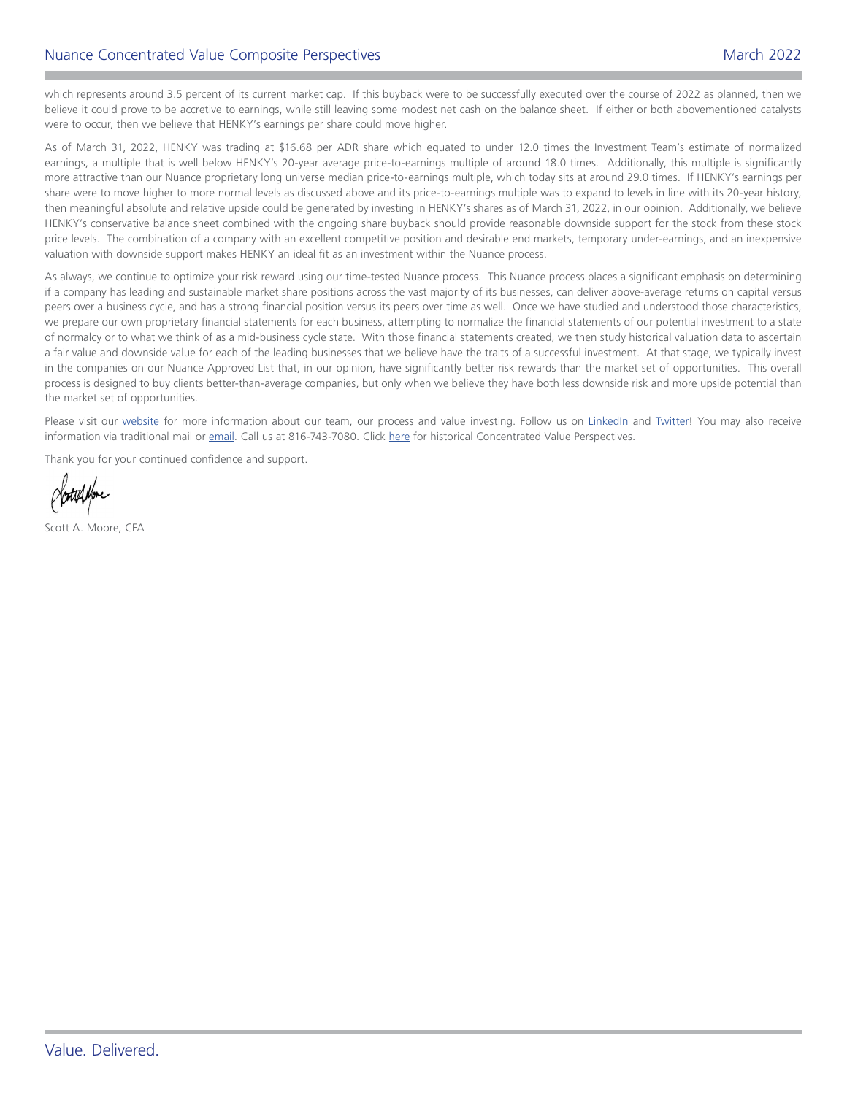which represents around 3.5 percent of its current market cap. If this buyback were to be successfully executed over the course of 2022 as planned, then we believe it could prove to be accretive to earnings, while still leaving some modest net cash on the balance sheet. If either or both abovementioned catalysts were to occur, then we believe that HENKY's earnings per share could move higher.

As of March 31, 2022, HENKY was trading at \$16.68 per ADR share which equated to under 12.0 times the Investment Team's estimate of normalized earnings, a multiple that is well below HENKY's 20-year average price-to-earnings multiple of around 18.0 times. Additionally, this multiple is significantly more attractive than our Nuance proprietary long universe median price-to-earnings multiple, which today sits at around 29.0 times. If HENKY's earnings per share were to move higher to more normal levels as discussed above and its price-to-earnings multiple was to expand to levels in line with its 20-year history, then meaningful absolute and relative upside could be generated by investing in HENKY's shares as of March 31, 2022, in our opinion. Additionally, we believe HENKY's conservative balance sheet combined with the ongoing share buyback should provide reasonable downside support for the stock from these stock price levels. The combination of a company with an excellent competitive position and desirable end markets, temporary under-earnings, and an inexpensive valuation with downside support makes HENKY an ideal fit as an investment within the Nuance process.

As always, we continue to optimize your risk reward using our time-tested Nuance process. This Nuance process places a significant emphasis on determining if a company has leading and sustainable market share positions across the vast majority of its businesses, can deliver above-average returns on capital versus peers over a business cycle, and has a strong financial position versus its peers over time as well. Once we have studied and understood those characteristics, we prepare our own proprietary financial statements for each business, attempting to normalize the financial statements of our potential investment to a state of normalcy or to what we think of as a mid-business cycle state. With those financial statements created, we then study historical valuation data to ascertain a fair value and downside value for each of the leading businesses that we believe have the traits of a successful investment. At that stage, we typically invest in the companies on our Nuance Approved List that, in our opinion, have significantly better risk rewards than the market set of opportunities. This overall process is designed to buy clients better-than-average companies, but only when we believe they have both less downside risk and more upside potential than the market set of opportunities.

Please visit our [website](http://nuanceinvestments.com) for more information about our team, our process and value investing. Follow us on [LinkedIn](https://www.linkedin.com/company/nuance-investments-llc) and [Twitter](https://twitter.com/NuanceInvest)! You may also receive information via traditional mail or [email](mailto:client.services%40nuanceinvestments.com?subject=). Call us at 816-743-7080. Click [here](https://www.nuanceinvestments.com/concentrated-value/commentary.php) for historical Concentrated Value Perspectives.

Thank you for your continued confidence and support.

Scott A. Moore, CFA